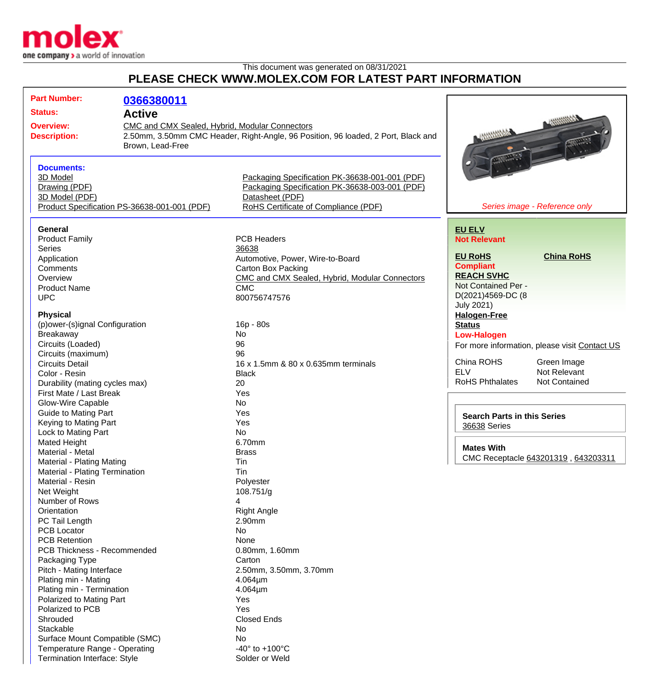

Termination Interface: Style Solder or Weld

## This document was generated on 08/31/2021 **PLEASE CHECK WWW.MOLEX.COM FOR LATEST PART INFORMATION**

| <b>Part Number:</b>                                                                                      | 0366380011                                     |                                                                       |                                     |                                               |
|----------------------------------------------------------------------------------------------------------|------------------------------------------------|-----------------------------------------------------------------------|-------------------------------------|-----------------------------------------------|
| <b>Status:</b><br><b>Active</b>                                                                          |                                                |                                                                       |                                     |                                               |
| <b>Overview:</b>                                                                                         | CMC and CMX Sealed, Hybrid, Modular Connectors |                                                                       |                                     |                                               |
| 2.50mm, 3.50mm CMC Header, Right-Angle, 96 Position, 96 loaded, 2 Port, Black and<br><b>Description:</b> |                                                |                                                                       |                                     |                                               |
| Brown, Lead-Free                                                                                         |                                                |                                                                       |                                     |                                               |
|                                                                                                          |                                                |                                                                       |                                     |                                               |
| <b>Documents:</b>                                                                                        |                                                |                                                                       |                                     |                                               |
| 3D Model                                                                                                 |                                                | Packaging Specification PK-36638-001-001 (PDF)                        |                                     |                                               |
| Drawing (PDF)                                                                                            |                                                | Packaging Specification PK-36638-003-001 (PDF)                        |                                     |                                               |
| 3D Model (PDF)                                                                                           |                                                | Datasheet (PDF)                                                       |                                     |                                               |
| Product Specification PS-36638-001-001 (PDF)                                                             |                                                | RoHS Certificate of Compliance (PDF)<br>Series image - Reference only |                                     |                                               |
|                                                                                                          |                                                |                                                                       |                                     |                                               |
| General                                                                                                  |                                                |                                                                       | <b>EU ELV</b>                       |                                               |
| <b>Product Family</b>                                                                                    |                                                | <b>PCB Headers</b>                                                    | <b>Not Relevant</b>                 |                                               |
| <b>Series</b>                                                                                            |                                                | 36638                                                                 |                                     |                                               |
| Application                                                                                              |                                                | Automotive, Power, Wire-to-Board                                      | <b>EU RoHS</b>                      | <b>China RoHS</b>                             |
| Comments                                                                                                 |                                                | <b>Carton Box Packing</b>                                             | <b>Compliant</b>                    |                                               |
|                                                                                                          |                                                |                                                                       | <b>REACH SVHC</b>                   |                                               |
| Overview                                                                                                 |                                                | CMC and CMX Sealed, Hybrid, Modular Connectors                        | Not Contained Per -                 |                                               |
| <b>Product Name</b>                                                                                      |                                                | <b>CMC</b>                                                            | D(2021)4569-DC (8                   |                                               |
| <b>UPC</b>                                                                                               |                                                | 800756747576                                                          |                                     |                                               |
|                                                                                                          |                                                |                                                                       | <b>July 2021)</b>                   |                                               |
| <b>Physical</b>                                                                                          |                                                |                                                                       | <b>Halogen-Free</b>                 |                                               |
| (p) ower-(s) ignal Configuration                                                                         |                                                | 16p - 80s                                                             | <b>Status</b>                       |                                               |
| Breakaway                                                                                                |                                                | No                                                                    | <b>Low-Halogen</b>                  |                                               |
| Circuits (Loaded)                                                                                        |                                                | 96                                                                    |                                     | For more information, please visit Contact US |
| Circuits (maximum)                                                                                       |                                                | 96                                                                    |                                     |                                               |
| <b>Circuits Detail</b>                                                                                   |                                                | 16 x 1.5mm & 80 x 0.635mm terminals                                   | China ROHS                          | Green Image                                   |
| Color - Resin                                                                                            |                                                | <b>Black</b>                                                          | <b>ELV</b>                          | Not Relevant                                  |
| Durability (mating cycles max)                                                                           |                                                | 20                                                                    | <b>RoHS Phthalates</b>              | <b>Not Contained</b>                          |
| First Mate / Last Break                                                                                  |                                                | Yes                                                                   |                                     |                                               |
| <b>Glow-Wire Capable</b>                                                                                 |                                                | No                                                                    |                                     |                                               |
| <b>Guide to Mating Part</b>                                                                              |                                                | Yes                                                                   |                                     |                                               |
| Keying to Mating Part                                                                                    |                                                | Yes                                                                   | <b>Search Parts in this Series</b>  |                                               |
| Lock to Mating Part                                                                                      |                                                | No                                                                    | 36638 Series                        |                                               |
| Mated Height                                                                                             |                                                | 6.70mm                                                                |                                     |                                               |
| Material - Metal                                                                                         |                                                | <b>Brass</b>                                                          | <b>Mates With</b>                   |                                               |
|                                                                                                          |                                                | Tin                                                                   | CMC Receptacle 643201319, 643203311 |                                               |
| Material - Plating Mating                                                                                |                                                | Tin                                                                   |                                     |                                               |
| Material - Plating Termination                                                                           |                                                |                                                                       |                                     |                                               |
| Material - Resin                                                                                         |                                                | Polyester                                                             |                                     |                                               |
| Net Weight                                                                                               |                                                | 108.751/g                                                             |                                     |                                               |
| Number of Rows                                                                                           |                                                | 4                                                                     |                                     |                                               |
| Orientation                                                                                              |                                                | <b>Right Angle</b>                                                    |                                     |                                               |
| PC Tail Length                                                                                           |                                                | 2.90mm                                                                |                                     |                                               |
| <b>PCB Locator</b>                                                                                       |                                                | No                                                                    |                                     |                                               |
| <b>PCB Retention</b>                                                                                     |                                                | None                                                                  |                                     |                                               |
| PCB Thickness - Recommended                                                                              |                                                | 0.80mm, 1.60mm                                                        |                                     |                                               |
| Packaging Type                                                                                           |                                                | Carton                                                                |                                     |                                               |
| Pitch - Mating Interface                                                                                 |                                                | 2.50mm, 3.50mm, 3.70mm                                                |                                     |                                               |
| Plating min - Mating                                                                                     |                                                | $4.064 \mu m$                                                         |                                     |                                               |
| Plating min - Termination                                                                                |                                                | $4.064 \mu m$                                                         |                                     |                                               |
| Polarized to Mating Part                                                                                 |                                                | Yes                                                                   |                                     |                                               |
| Polarized to PCB                                                                                         |                                                | Yes                                                                   |                                     |                                               |
| Shrouded                                                                                                 |                                                | <b>Closed Ends</b>                                                    |                                     |                                               |
| Stackable                                                                                                |                                                | No                                                                    |                                     |                                               |
| Surface Mount Compatible (SMC)                                                                           |                                                | No                                                                    |                                     |                                               |
|                                                                                                          |                                                |                                                                       |                                     |                                               |
| Temperature Range - Operating                                                                            |                                                | $-40^{\circ}$ to $+100^{\circ}$ C                                     |                                     |                                               |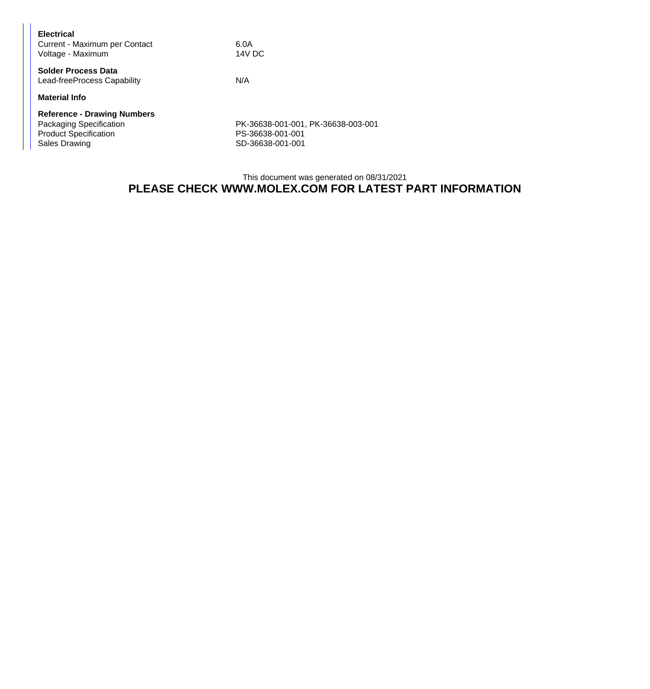| <b>Electrical</b><br>Current - Maximum per Contact<br>Voltage - Maximum                                        | 6.0A<br>14V DC                                                             |
|----------------------------------------------------------------------------------------------------------------|----------------------------------------------------------------------------|
| <b>Solder Process Data</b><br>Lead-freeProcess Capability                                                      | N/A                                                                        |
| <b>Material Info</b>                                                                                           |                                                                            |
| <b>Reference - Drawing Numbers</b><br>Packaging Specification<br><b>Product Specification</b><br>Sales Drawing | PK-36638-001-001, PK-36638-003-001<br>PS-36638-001-001<br>SD-36638-001-001 |

## This document was generated on 08/31/2021 **PLEASE CHECK WWW.MOLEX.COM FOR LATEST PART INFORMATION**